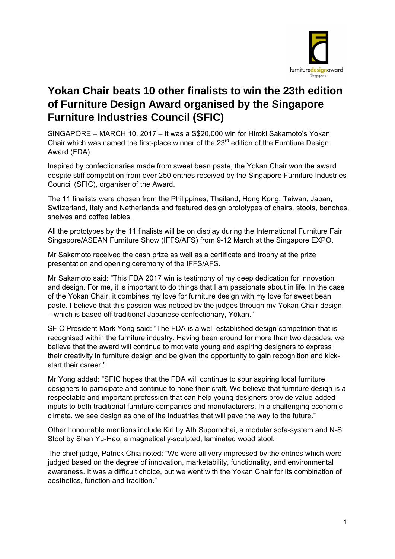

# **Yokan Chair beats 10 other finalists to win the 23th edition of Furniture Design Award organised by the Singapore Furniture Industries Council (SFIC)**

SINGAPORE – MARCH 10, 2017 – It was a S\$20,000 win for Hiroki Sakamoto's Yokan Chair which was named the first-place winner of the  $23<sup>rd</sup>$  edition of the Furntiure Design Award (FDA).

Inspired by confectionaries made from sweet bean paste, the Yokan Chair won the award despite stiff competition from over 250 entries received by the Singapore Furniture Industries Council (SFIC), organiser of the Award.

The 11 finalists were chosen from the Philippines, Thailand, Hong Kong, Taiwan, Japan, Switzerland, Italy and Netherlands and featured design prototypes of chairs, stools, benches, shelves and coffee tables.

All the prototypes by the 11 finalists will be on display during the International Furniture Fair Singapore/ASEAN Furniture Show (IFFS/AFS) from 9-12 March at the Singapore EXPO.

Mr Sakamoto received the cash prize as well as a certificate and trophy at the prize presentation and opening ceremony of the IFFS/AFS.

Mr Sakamoto said: "This FDA 2017 win is testimony of my deep dedication for innovation and design. For me, it is important to do things that I am passionate about in life. In the case of the Yokan Chair, it combines my love for furniture design with my love for sweet bean paste. I believe that this passion was noticed by the judges through my Yokan Chair design – which is based off traditional Japanese confectionary, Yōkan."

SFIC President Mark Yong said: "The FDA is a well-established design competition that is recognised within the furniture industry. Having been around for more than two decades, we believe that the award will continue to motivate young and aspiring designers to express their creativity in furniture design and be given the opportunity to gain recognition and kickstart their career.''

Mr Yong added: "SFIC hopes that the FDA will continue to spur aspiring local furniture designers to participate and continue to hone their craft. We believe that furniture design is a respectable and important profession that can help young designers provide value-added inputs to both traditional furniture companies and manufacturers. In a challenging economic climate, we see design as one of the industries that will pave the way to the future."

Other honourable mentions include Kiri by Ath Supornchai, a modular sofa-system and N-S Stool by Shen Yu-Hao, a magnetically-sculpted, laminated wood stool.

The chief judge, Patrick Chia noted: "We were all very impressed by the entries which were judged based on the degree of innovation, marketability, functionality, and environmental awareness. It was a difficult choice, but we went with the Yokan Chair for its combination of aesthetics, function and tradition."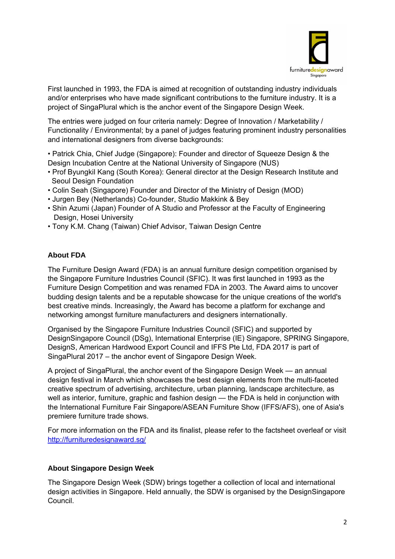

ر است که به این مسئل از این مسئل است.<br>این این مسئل این مسئل این مسئل این مسئل این مسئل این مسئل این مسئل این مسئل این مسئل این مسئل این مسئل این مسئ First launched in 1993, the FDA is aimed at recognition of outstanding industry individuals and/or enterprises who have made significant contributions to the furniture industry. It is a project of SingaPlural which is the anchor event of the Singapore Design Week.

The entries were judged on four criteria namely: Degree of Innovation / Marketability / Functionality / Environmental; by a panel of judges featuring prominent industry personalities and international designers from diverse backgrounds:

• Patrick Chia, Chief Judge (Singapore): Founder and director of Squeeze Design & the Design Incubation Centre at the National University of Singapore (NUS)

- Prof Byungkil Kang (South Korea): General director at the Design Research Institute and Seoul Design Foundation
- Colin Seah (Singapore) Founder and Director of the Ministry of Design (MOD)
- Jurgen Bey (Netherlands) Co-founder, Studio Makkink & Bey
- Shin Azumi (Japan) Founder of A Studio and Professor at the Faculty of Engineering Design, Hosei University
- Tony K.M. Chang (Taiwan) Chief Advisor, Taiwan Design Centre

### **About FDA**

The Furniture Design Award (FDA) is an annual furniture design competition organised by the Singapore Furniture Industries Council (SFIC). It was first launched in 1993 as the Furniture Design Competition and was renamed FDA in 2003. The Award aims to uncover budding design talents and be a reputable showcase for the unique creations of the world's best creative minds. Increasingly, the Award has become a platform for exchange and networking amongst furniture manufacturers and designers internationally.

Organised by the Singapore Furniture Industries Council (SFIC) and supported by DesignSingapore Council (DSg), International Enterprise (IE) Singapore, SPRING Singapore, DesignS, American Hardwood Export Council and IFFS Pte Ltd, FDA 2017 is part of SingaPlural 2017 – the anchor event of Singapore Design Week.

A project of SingaPlural, the anchor event of the Singapore Design Week — an annual design festival in March which showcases the best design elements from the multi-faceted creative spectrum of advertising, architecture, urban planning, landscape architecture, as well as interior, furniture, graphic and fashion design — the FDA is held in conjunction with the International Furniture Fair Singapore/ASEAN Furniture Show (IFFS/AFS), one of Asia's premiere furniture trade shows.

For more information on the FDA and its finalist, please refer to the factsheet overleaf or visit http://furnituredesignaward.sg/

## **About Singapore Design Week**

The Singapore Design Week (SDW) brings together a collection of local and international design activities in Singapore. Held annually, the SDW is organised by the DesignSingapore Council.